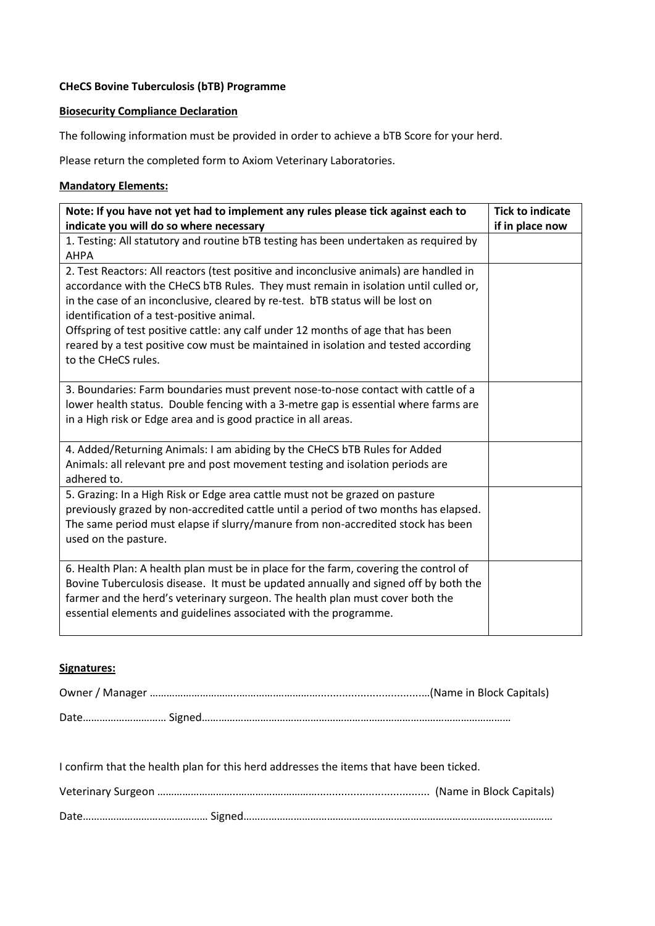### **CHeCS Bovine Tuberculosis (bTB) Programme**

## **Biosecurity Compliance Declaration**

The following information must be provided in order to achieve a bTB Score for your herd.

Please return the completed form to Axiom Veterinary Laboratories.

#### **Mandatory Elements:**

| Note: If you have not yet had to implement any rules please tick against each to       | <b>Tick to indicate</b> |
|----------------------------------------------------------------------------------------|-------------------------|
| indicate you will do so where necessary                                                | if in place now         |
| 1. Testing: All statutory and routine bTB testing has been undertaken as required by   |                         |
| <b>AHPA</b>                                                                            |                         |
| 2. Test Reactors: All reactors (test positive and inconclusive animals) are handled in |                         |
| accordance with the CHeCS bTB Rules. They must remain in isolation until culled or,    |                         |
| in the case of an inconclusive, cleared by re-test. bTB status will be lost on         |                         |
| identification of a test-positive animal.                                              |                         |
| Offspring of test positive cattle: any calf under 12 months of age that has been       |                         |
| reared by a test positive cow must be maintained in isolation and tested according     |                         |
| to the CHeCS rules.                                                                    |                         |
|                                                                                        |                         |
| 3. Boundaries: Farm boundaries must prevent nose-to-nose contact with cattle of a      |                         |
| lower health status. Double fencing with a 3-metre gap is essential where farms are    |                         |
| in a High risk or Edge area and is good practice in all areas.                         |                         |
|                                                                                        |                         |
| 4. Added/Returning Animals: I am abiding by the CHeCS bTB Rules for Added              |                         |
| Animals: all relevant pre and post movement testing and isolation periods are          |                         |
| adhered to.                                                                            |                         |
| 5. Grazing: In a High Risk or Edge area cattle must not be grazed on pasture           |                         |
| previously grazed by non-accredited cattle until a period of two months has elapsed.   |                         |
| The same period must elapse if slurry/manure from non-accredited stock has been        |                         |
| used on the pasture.                                                                   |                         |
|                                                                                        |                         |
| 6. Health Plan: A health plan must be in place for the farm, covering the control of   |                         |
| Bovine Tuberculosis disease. It must be updated annually and signed off by both the    |                         |
| farmer and the herd's veterinary surgeon. The health plan must cover both the          |                         |
| essential elements and guidelines associated with the programme.                       |                         |
|                                                                                        |                         |

## **Signatures:**

I confirm that the health plan for this herd addresses the items that have been ticked.